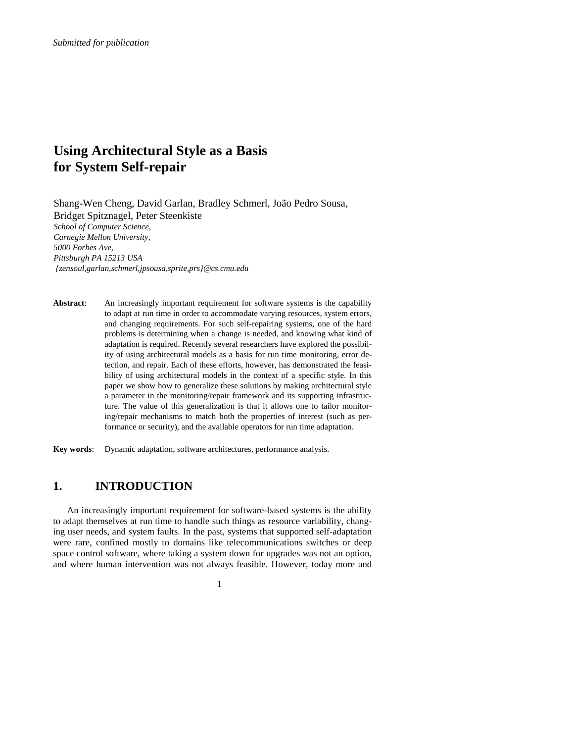# **Using Architectural Style as a Basis for System Self-repair**

Shang-Wen Cheng, David Garlan, Bradley Schmerl, João Pedro Sousa, Bridget Spitznagel, Peter Steenkiste *School of Computer Science, Carnegie Mellon University, 5000 Forbes Ave, Pittsburgh PA 15213 USA {zensoul,garlan,schmerl,jpsousa,sprite,prs}@cs.cmu.edu*

**Abstract**: An increasingly important requirement for software systems is the capability to adapt at run time in order to accommodate varying resources, system errors, and changing requirements. For such self-repairing systems, one of the hard problems is determining when a change is needed, and knowing what kind of adaptation is required. Recently several researchers have explored the possibility of using architectural models as a basis for run time monitoring, error detection, and repair. Each of these efforts, however, has demonstrated the feasibility of using architectural models in the context of a specific style. In this paper we show how to generalize these solutions by making architectural style a parameter in the monitoring/repair framework and its supporting infrastructure. The value of this generalization is that it allows one to tailor monitoring/repair mechanisms to match both the properties of interest (such as performance or security), and the available operators for run time adaptation.

**Key words**: Dynamic adaptation, software architectures, performance analysis.

# **1. INTRODUCTION**

An increasingly important requirement for software-based systems is the ability to adapt themselves at run time to handle such things as resource variability, changing user needs, and system faults. In the past, systems that supported self-adaptation were rare, confined mostly to domains like telecommunications switches or deep space control software, where taking a system down for upgrades was not an option, and where human intervention was not always feasible. However, today more and

1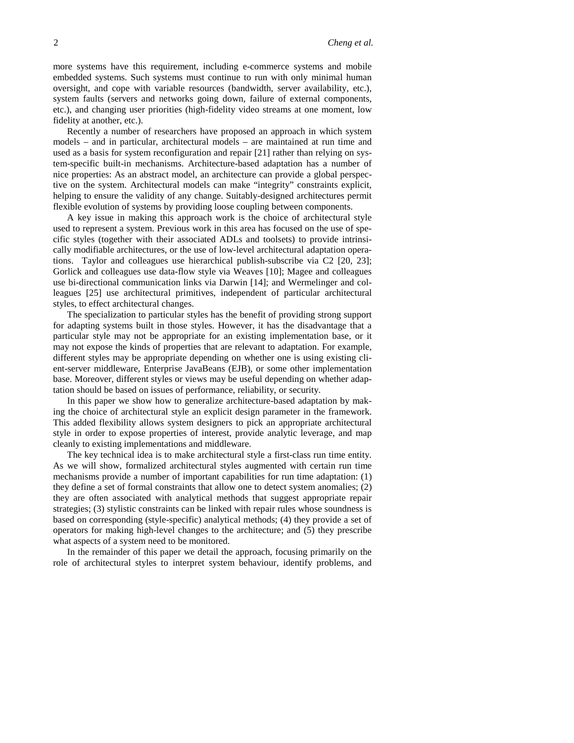more systems have this requirement, including e-commerce systems and mobile embedded systems. Such systems must continue to run with only minimal human oversight, and cope with variable resources (bandwidth, server availability, etc.), system faults (servers and networks going down, failure of external components, etc.), and changing user priorities (high-fidelity video streams at one moment, low fidelity at another, etc.).

Recently a number of researchers have proposed an approach in which system models – and in particular, architectural models – are maintained at run time and used as a basis for system reconfiguration and repair [21] rather than relying on system-specific built-in mechanisms. Architecture-based adaptation has a number of nice properties: As an abstract model, an architecture can provide a global perspective on the system. Architectural models can make "integrity" constraints explicit, helping to ensure the validity of any change. Suitably-designed architectures permit flexible evolution of systems by providing loose coupling between components.

A key issue in making this approach work is the choice of architectural style used to represent a system. Previous work in this area has focused on the use of specific styles (together with their associated ADLs and toolsets) to provide intrinsically modifiable architectures, or the use of low-level architectural adaptation operations. Taylor and colleagues use hierarchical publish-subscribe via C2 [20, 23]; Gorlick and colleagues use data-flow style via Weaves [10]; Magee and colleagues use bi-directional communication links via Darwin [14]; and Wermelinger and colleagues [25] use architectural primitives, independent of particular architectural styles, to effect architectural changes.

The specialization to particular styles has the benefit of providing strong support for adapting systems built in those styles. However, it has the disadvantage that a particular style may not be appropriate for an existing implementation base, or it may not expose the kinds of properties that are relevant to adaptation. For example, different styles may be appropriate depending on whether one is using existing client-server middleware, Enterprise JavaBeans (EJB), or some other implementation base. Moreover, different styles or views may be useful depending on whether adaptation should be based on issues of performance, reliability, or security.

In this paper we show how to generalize architecture-based adaptation by making the choice of architectural style an explicit design parameter in the framework. This added flexibility allows system designers to pick an appropriate architectural style in order to expose properties of interest, provide analytic leverage, and map cleanly to existing implementations and middleware.

The key technical idea is to make architectural style a first-class run time entity. As we will show, formalized architectural styles augmented with certain run time mechanisms provide a number of important capabilities for run time adaptation: (1) they define a set of formal constraints that allow one to detect system anomalies; (2) they are often associated with analytical methods that suggest appropriate repair strategies; (3) stylistic constraints can be linked with repair rules whose soundness is based on corresponding (style-specific) analytical methods; (4) they provide a set of operators for making high-level changes to the architecture; and (5) they prescribe what aspects of a system need to be monitored.

In the remainder of this paper we detail the approach, focusing primarily on the role of architectural styles to interpret system behaviour, identify problems, and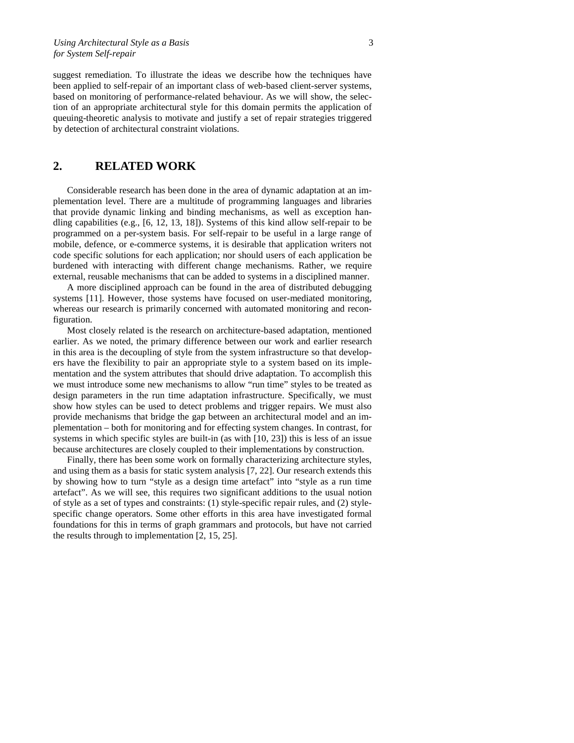suggest remediation. To illustrate the ideas we describe how the techniques have been applied to self-repair of an important class of web-based client-server systems, based on monitoring of performance-related behaviour. As we will show, the selection of an appropriate architectural style for this domain permits the application of queuing-theoretic analysis to motivate and justify a set of repair strategies triggered by detection of architectural constraint violations.

# **2. RELATED WORK**

Considerable research has been done in the area of dynamic adaptation at an implementation level. There are a multitude of programming languages and libraries that provide dynamic linking and binding mechanisms, as well as exception handling capabilities (e.g., [6, 12, 13, 18]). Systems of this kind allow self-repair to be programmed on a per-system basis. For self-repair to be useful in a large range of mobile, defence, or e-commerce systems, it is desirable that application writers not code specific solutions for each application; nor should users of each application be burdened with interacting with different change mechanisms. Rather, we require external, reusable mechanisms that can be added to systems in a disciplined manner.

A more disciplined approach can be found in the area of distributed debugging systems [11]. However, those systems have focused on user-mediated monitoring, whereas our research is primarily concerned with automated monitoring and reconfiguration.

Most closely related is the research on architecture-based adaptation, mentioned earlier. As we noted, the primary difference between our work and earlier research in this area is the decoupling of style from the system infrastructure so that developers have the flexibility to pair an appropriate style to a system based on its implementation and the system attributes that should drive adaptation. To accomplish this we must introduce some new mechanisms to allow "run time" styles to be treated as design parameters in the run time adaptation infrastructure. Specifically, we must show how styles can be used to detect problems and trigger repairs. We must also provide mechanisms that bridge the gap between an architectural model and an implementation – both for monitoring and for effecting system changes. In contrast, for systems in which specific styles are built-in (as with [10, 23]) this is less of an issue because architectures are closely coupled to their implementations by construction.

Finally, there has been some work on formally characterizing architecture styles, and using them as a basis for static system analysis [7, 22]. Our research extends this by showing how to turn "style as a design time artefact" into "style as a run time artefact". As we will see, this requires two significant additions to the usual notion of style as a set of types and constraints: (1) style-specific repair rules, and (2) stylespecific change operators. Some other efforts in this area have investigated formal foundations for this in terms of graph grammars and protocols, but have not carried the results through to implementation [2, 15, 25].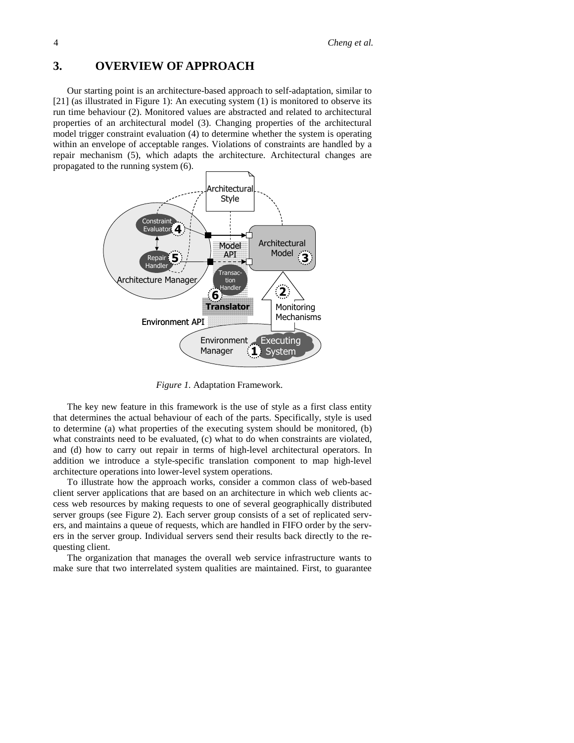## **3. OVERVIEW OF APPROACH**

Our starting point is an architecture-based approach to self-adaptation, similar to [21] (as illustrated in Figure 1): An executing system (1) is monitored to observe its run time behaviour (2). Monitored values are abstracted and related to architectural properties of an architectural model (3). Changing properties of the architectural model trigger constraint evaluation (4) to determine whether the system is operating within an envelope of acceptable ranges. Violations of constraints are handled by a repair mechanism (5), which adapts the architecture. Architectural changes are propagated to the running system (6).



*Figure 1.* Adaptation Framework.

The key new feature in this framework is the use of style as a first class entity that determines the actual behaviour of each of the parts. Specifically, style is used to determine (a) what properties of the executing system should be monitored, (b) what constraints need to be evaluated, (c) what to do when constraints are violated, and (d) how to carry out repair in terms of high-level architectural operators. In addition we introduce a style-specific translation component to map high-level architecture operations into lower-level system operations.

To illustrate how the approach works, consider a common class of web-based client server applications that are based on an architecture in which web clients access web resources by making requests to one of several geographically distributed server groups (see Figure 2). Each server group consists of a set of replicated servers, and maintains a queue of requests, which are handled in FIFO order by the servers in the server group. Individual servers send their results back directly to the requesting client.

The organization that manages the overall web service infrastructure wants to make sure that two interrelated system qualities are maintained. First, to guarantee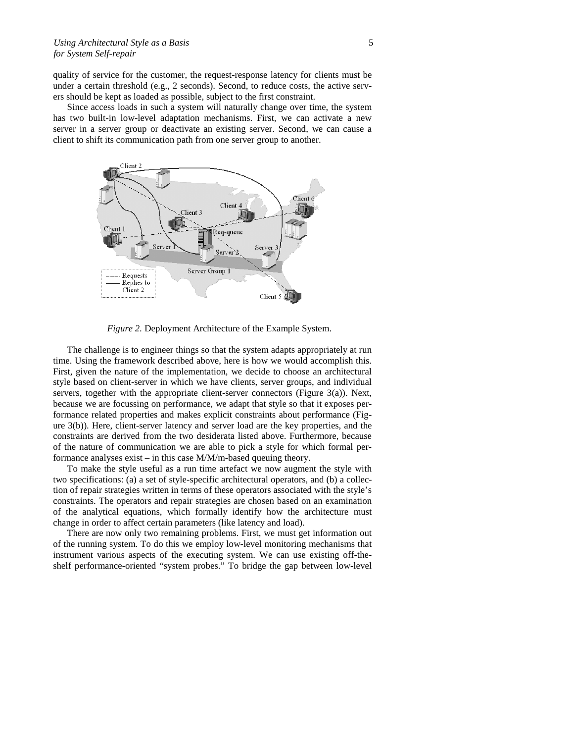quality of service for the customer, the request-response latency for clients must be under a certain threshold (e.g., 2 seconds). Second, to reduce costs, the active servers should be kept as loaded as possible, subject to the first constraint.

Since access loads in such a system will naturally change over time, the system has two built-in low-level adaptation mechanisms. First, we can activate a new server in a server group or deactivate an existing server. Second, we can cause a client to shift its communication path from one server group to another.



*Figure 2.* Deployment Architecture of the Example System.

The challenge is to engineer things so that the system adapts appropriately at run time. Using the framework described above, here is how we would accomplish this. First, given the nature of the implementation, we decide to choose an architectural style based on client-server in which we have clients, server groups, and individual servers, together with the appropriate client-server connectors (Figure 3(a)). Next, because we are focussing on performance, we adapt that style so that it exposes performance related properties and makes explicit constraints about performance (Figure 3(b)). Here, client-server latency and server load are the key properties, and the constraints are derived from the two desiderata listed above. Furthermore, because of the nature of communication we are able to pick a style for which formal performance analyses exist – in this case M/M/m-based queuing theory.

To make the style useful as a run time artefact we now augment the style with two specifications: (a) a set of style-specific architectural operators, and (b) a collection of repair strategies written in terms of these operators associated with the style's constraints. The operators and repair strategies are chosen based on an examination of the analytical equations, which formally identify how the architecture must change in order to affect certain parameters (like latency and load).

There are now only two remaining problems. First, we must get information out of the running system. To do this we employ low-level monitoring mechanisms that instrument various aspects of the executing system. We can use existing off-theshelf performance-oriented "system probes." To bridge the gap between low-level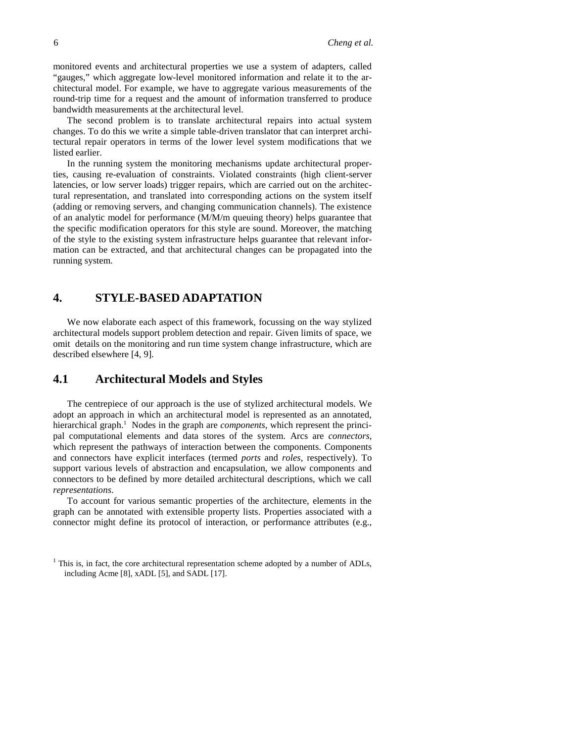monitored events and architectural properties we use a system of adapters, called "gauges," which aggregate low-level monitored information and relate it to the architectural model. For example, we have to aggregate various measurements of the round-trip time for a request and the amount of information transferred to produce bandwidth measurements at the architectural level.

The second problem is to translate architectural repairs into actual system changes. To do this we write a simple table-driven translator that can interpret architectural repair operators in terms of the lower level system modifications that we listed earlier.

In the running system the monitoring mechanisms update architectural properties, causing re-evaluation of constraints. Violated constraints (high client-server latencies, or low server loads) trigger repairs, which are carried out on the architectural representation, and translated into corresponding actions on the system itself (adding or removing servers, and changing communication channels). The existence of an analytic model for performance (M/M/m queuing theory) helps guarantee that the specific modification operators for this style are sound. Moreover, the matching of the style to the existing system infrastructure helps guarantee that relevant information can be extracted, and that architectural changes can be propagated into the running system.

### **4. STYLE-BASED ADAPTATION**

We now elaborate each aspect of this framework, focussing on the way stylized architectural models support problem detection and repair. Given limits of space, we omit details on the monitoring and run time system change infrastructure, which are described elsewhere [4, 9].

### **4.1 Architectural Models and Styles**

The centrepiece of our approach is the use of stylized architectural models. We adopt an approach in which an architectural model is represented as an annotated, hierarchical graph.<sup>1</sup> Nodes in the graph are *components*, which represent the principal computational elements and data stores of the system. Arcs are *connectors*, which represent the pathways of interaction between the components. Components and connectors have explicit interfaces (termed *ports* and *roles*, respectively). To support various levels of abstraction and encapsulation, we allow components and connectors to be defined by more detailed architectural descriptions, which we call *representations*.

To account for various semantic properties of the architecture, elements in the graph can be annotated with extensible property lists. Properties associated with a connector might define its protocol of interaction, or performance attributes (e.g.,

 $<sup>1</sup>$  This is, in fact, the core architectural representation scheme adopted by a number of ADLs,</sup> including Acme [8], xADL [5], and SADL [17].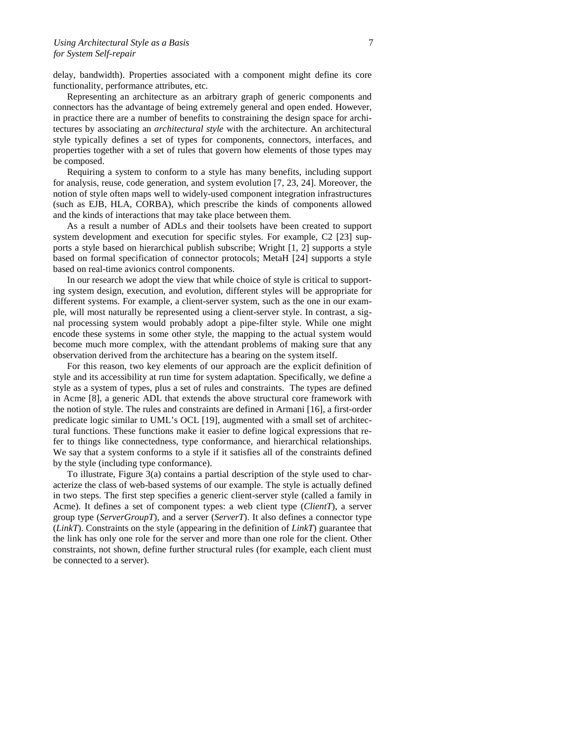delay, bandwidth). Properties associated with a component might define its core functionality, performance attributes, etc.

Representing an architecture as an arbitrary graph of generic components and connectors has the advantage of being extremely general and open ended. However, in practice there are a number of benefits to constraining the design space for architectures by associating an *architectural style* with the architecture. An architectural style typically defines a set of types for components, connectors, interfaces, and properties together with a set of rules that govern how elements of those types may be composed.

Requiring a system to conform to a style has many benefits, including support for analysis, reuse, code generation, and system evolution [7, 23, 24]. Moreover, the notion of style often maps well to widely-used component integration infrastructures (such as EJB, HLA, CORBA), which prescribe the kinds of components allowed and the kinds of interactions that may take place between them.

As a result a number of ADLs and their toolsets have been created to support system development and execution for specific styles. For example, C2 [23] supports a style based on hierarchical publish subscribe; Wright [1, 2] supports a style based on formal specification of connector protocols; MetaH [24] supports a style based on real-time avionics control components.

In our research we adopt the view that while choice of style is critical to supporting system design, execution, and evolution, different styles will be appropriate for different systems. For example, a client-server system, such as the one in our example, will most naturally be represented using a client-server style. In contrast, a signal processing system would probably adopt a pipe-filter style. While one might encode these systems in some other style, the mapping to the actual system would become much more complex, with the attendant problems of making sure that any observation derived from the architecture has a bearing on the system itself.

For this reason, two key elements of our approach are the explicit definition of style and its accessibility at run time for system adaptation. Specifically, we define a style as a system of types, plus a set of rules and constraints. The types are defined in Acme [8], a generic ADL that extends the above structural core framework with the notion of style. The rules and constraints are defined in Armani [16], a first-order predicate logic similar to UML's OCL [19], augmented with a small set of architectural functions. These functions make it easier to define logical expressions that refer to things like connectedness, type conformance, and hierarchical relationships. We say that a system conforms to a style if it satisfies all of the constraints defined by the style (including type conformance).

To illustrate, Figure 3(a) contains a partial description of the style used to characterize the class of web-based systems of our example. The style is actually defined in two steps. The first step specifies a generic client-server style (called a family in Acme). It defines a set of component types: a web client type (*ClientT*), a server group type (*ServerGroupT*), and a server (*ServerT*). It also defines a connector type (*LinkT*). Constraints on the style (appearing in the definition of *LinkT*) guarantee that the link has only one role for the server and more than one role for the client. Other constraints, not shown, define further structural rules (for example, each client must be connected to a server).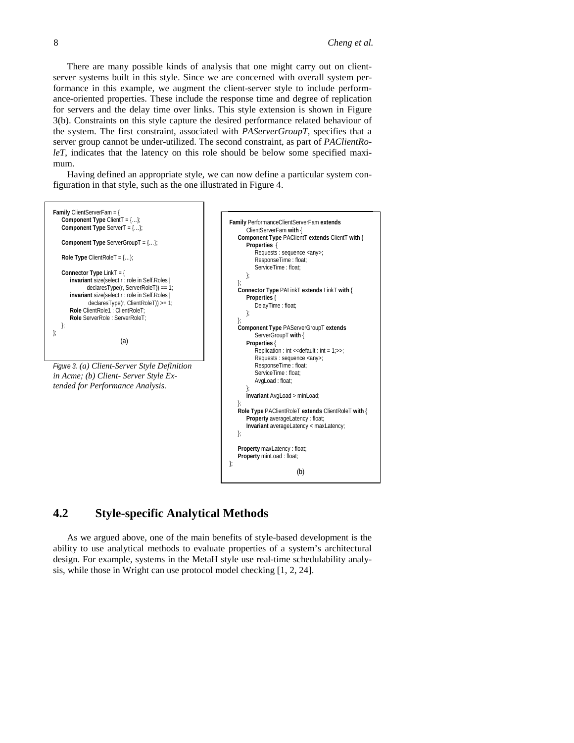There are many possible kinds of analysis that one might carry out on clientserver systems built in this style. Since we are concerned with overall system performance in this example, we augment the client-server style to include performance-oriented properties. These include the response time and degree of replication for servers and the delay time over links. This style extension is shown in Figure 3(b). Constraints on this style capture the desired performance related behaviour of the system. The first constraint, associated with *PAServerGroupT*, specifies that a server group cannot be under-utilized. The second constraint, as part of *PAClientRoleT*, indicates that the latency on this role should be below some specified maximum.

Having defined an appropriate style, we can now define a particular system configuration in that style, such as the one illustrated in Figure 4.





# **4.2 Style-specific Analytical Methods**

As we argued above, one of the main benefits of style-based development is the ability to use analytical methods to evaluate properties of a system's architectural design. For example, systems in the MetaH style use real-time schedulability analysis, while those in Wright can use protocol model checking [1, 2, 24].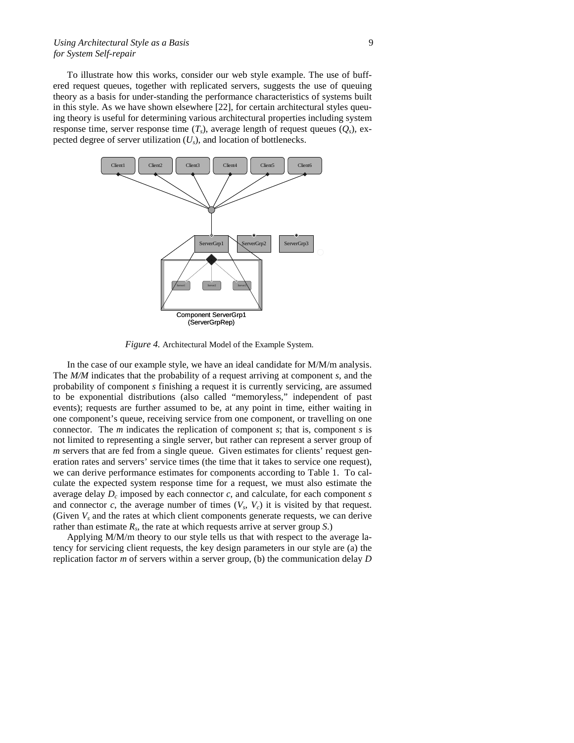#### *Using Architectural Style as a Basis for System Self-repair*

To illustrate how this works, consider our web style example. The use of buffered request queues, together with replicated servers, suggests the use of queuing theory as a basis for under-standing the performance characteristics of systems built in this style. As we have shown elsewhere [22], for certain architectural styles queuing theory is useful for determining various architectural properties including system response time, server response time  $(T_s)$ , average length of request queues  $(Q_s)$ , expected degree of server utilization (*Us*), and location of bottlenecks.



*Figure 4.* Architectural Model of the Example System.

In the case of our example style, we have an ideal candidate for M/M/m analysis. The *M/M* indicates that the probability of a request arriving at component *s*, and the probability of component *s* finishing a request it is currently servicing, are assumed to be exponential distributions (also called "memoryless," independent of past events); requests are further assumed to be, at any point in time, either waiting in one component's queue, receiving service from one component, or travelling on one connector. The *m* indicates the replication of component *s*; that is, component *s* is not limited to representing a single server, but rather can represent a server group of *m* servers that are fed from a single queue. Given estimates for clients' request generation rates and servers' service times (the time that it takes to service one request), we can derive performance estimates for components according to Table 1. To calculate the expected system response time for a request, we must also estimate the average delay  $D_c$  imposed by each connector  $c$ , and calculate, for each component  $s$ and connector  $c$ , the average number of times  $(V_s, V_c)$  it is visited by that request. (Given *Vs* and the rates at which client components generate requests, we can derive rather than estimate  $R_s$ , the rate at which requests arrive at server group *S*.)

Applying M/M/m theory to our style tells us that with respect to the average latency for servicing client requests, the key design parameters in our style are (a) the replication factor *m* of servers within a server group, (b) the communication delay *D*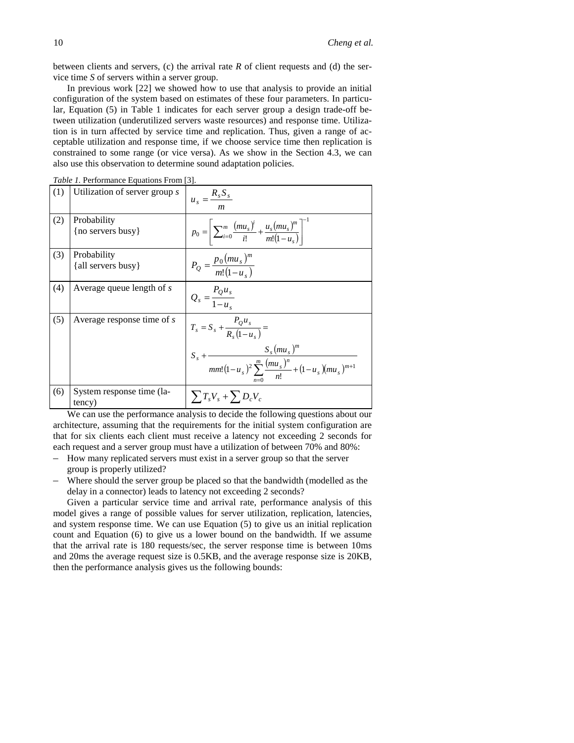between clients and servers,  $(c)$  the arrival rate  $R$  of client requests and  $(d)$  the service time *S* of servers within a server group.

In previous work [22] we showed how to use that analysis to provide an initial configuration of the system based on estimates of these four parameters. In particular, Equation (5) in Table 1 indicates for each server group a design trade-off between utilization (underutilized servers waste resources) and response time. Utilization is in turn affected by service time and replication. Thus, given a range of acceptable utilization and response time, if we choose service time then replication is constrained to some range (or vice versa). As we show in the Section 4.3, we can also use this observation to determine sound adaptation policies.

| (1) | Utilization of server group $s$     | $u_s = \frac{R_s S_s}{\sqrt{2\pi}}$                                                                                                                                                            |
|-----|-------------------------------------|------------------------------------------------------------------------------------------------------------------------------------------------------------------------------------------------|
| (2) | Probability<br>{no servers busy}    | $p_0 = \left[ \sum_{i=0}^m \frac{(mu_s)^i}{i!} + \frac{u_s(mu_s)^m}{m!(1-u_s)} \right]$                                                                                                        |
| (3) | Probability<br>{all servers busy}   | $P_Q = \frac{p_0 (mu_s)^m}{m!(1-u)}$                                                                                                                                                           |
| (4) | Average queue length of s           | $Q_s = \frac{P_Q u_s}{1 - u_s}$                                                                                                                                                                |
| (5) | Average response time of s          | $T_s = S_s + \frac{P_Q u_s}{R(1-u_s)}$<br>$S_s + \frac{S_s\left(mu_s\right)^m}{mm!\left(1-u_s\right)^2\sum_{n=0}^{m}\frac{\left(mu_s\right)^n}{n!}+\left(1-u_s\right)\left(mu_s\right)^{m+1}}$ |
| (6) | System response time (la-<br>tency) | $\sum T_s V_s + \sum D_c V_c$                                                                                                                                                                  |

*Table 1.* Performance Equations From [3].

We can use the performance analysis to decide the following questions about our architecture, assuming that the requirements for the initial system configuration are that for six clients each client must receive a latency not exceeding 2 seconds for each request and a server group must have a utilization of between 70% and 80%:

- How many replicated servers must exist in a server group so that the server group is properly utilized?
- Where should the server group be placed so that the bandwidth (modelled as the delay in a connector) leads to latency not exceeding 2 seconds?

Given a particular service time and arrival rate, performance analysis of this model gives a range of possible values for server utilization, replication, latencies, and system response time. We can use Equation (5) to give us an initial replication count and Equation (6) to give us a lower bound on the bandwidth. If we assume that the arrival rate is 180 requests/sec, the server response time is between 10ms and 20ms the average request size is 0.5KB, and the average response size is 20KB, then the performance analysis gives us the following bounds: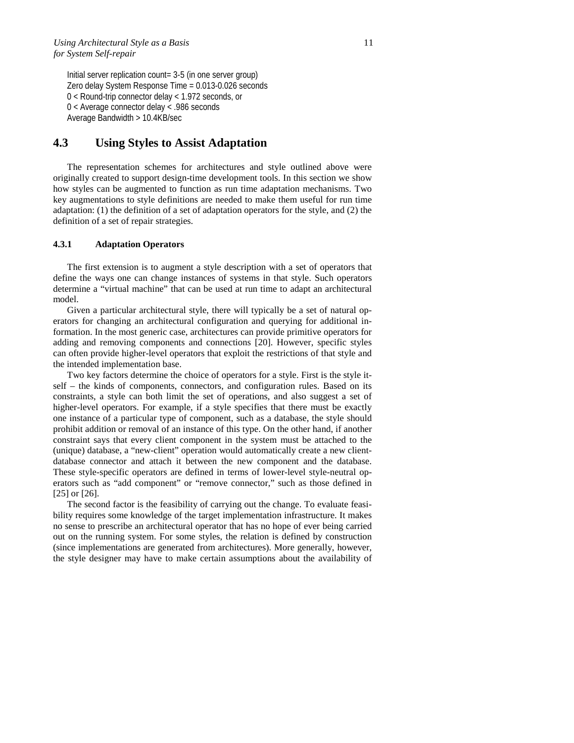Initial server replication count= 3-5 (in one server group) Zero delay System Response Time = 0.013-0.026 seconds 0 < Round-trip connector delay < 1.972 seconds, or 0 < Average connector delay < .986 seconds Average Bandwidth > 10.4KB/sec

# **4.3 Using Styles to Assist Adaptation**

The representation schemes for architectures and style outlined above were originally created to support design-time development tools. In this section we show how styles can be augmented to function as run time adaptation mechanisms. Two key augmentations to style definitions are needed to make them useful for run time adaptation: (1) the definition of a set of adaptation operators for the style, and (2) the definition of a set of repair strategies.

#### **4.3.1 Adaptation Operators**

The first extension is to augment a style description with a set of operators that define the ways one can change instances of systems in that style. Such operators determine a "virtual machine" that can be used at run time to adapt an architectural model.

Given a particular architectural style, there will typically be a set of natural operators for changing an architectural configuration and querying for additional information. In the most generic case, architectures can provide primitive operators for adding and removing components and connections [20]. However, specific styles can often provide higher-level operators that exploit the restrictions of that style and the intended implementation base.

Two key factors determine the choice of operators for a style. First is the style itself – the kinds of components, connectors, and configuration rules. Based on its constraints, a style can both limit the set of operations, and also suggest a set of higher-level operators. For example, if a style specifies that there must be exactly one instance of a particular type of component, such as a database, the style should prohibit addition or removal of an instance of this type. On the other hand, if another constraint says that every client component in the system must be attached to the (unique) database, a "new-client" operation would automatically create a new clientdatabase connector and attach it between the new component and the database. These style-specific operators are defined in terms of lower-level style-neutral operators such as "add component" or "remove connector," such as those defined in [25] or [26].

The second factor is the feasibility of carrying out the change. To evaluate feasibility requires some knowledge of the target implementation infrastructure. It makes no sense to prescribe an architectural operator that has no hope of ever being carried out on the running system. For some styles, the relation is defined by construction (since implementations are generated from architectures). More generally, however, the style designer may have to make certain assumptions about the availability of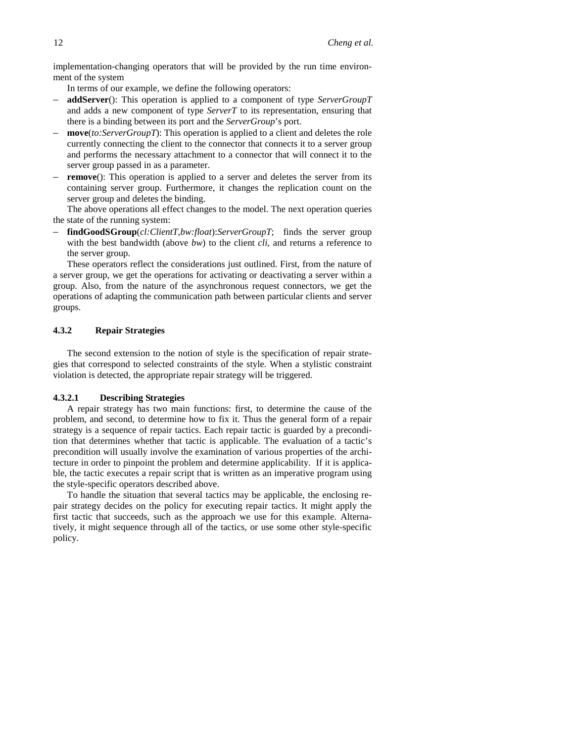implementation-changing operators that will be provided by the run time environment of the system

In terms of our example, we define the following operators:

- **addServer**(): This operation is applied to a component of type *ServerGroupT* and adds a new component of type *ServerT* to its representation, ensuring that there is a binding between its port and the *ServerGroup*'s port.
- **move**(*to:ServerGroupT*): This operation is applied to a client and deletes the role currently connecting the client to the connector that connects it to a server group and performs the necessary attachment to a connector that will connect it to the server group passed in as a parameter.
- **remove**(): This operation is applied to a server and deletes the server from its containing server group. Furthermore, it changes the replication count on the server group and deletes the binding.

The above operations all effect changes to the model. The next operation queries the state of the running system:

– **findGoodSGroup**(*cl:ClientT,bw:float*):*ServerGroupT*; finds the server group with the best bandwidth (above *bw*) to the client *cli*, and returns a reference to the server group.

These operators reflect the considerations just outlined. First, from the nature of a server group, we get the operations for activating or deactivating a server within a group. Also, from the nature of the asynchronous request connectors, we get the operations of adapting the communication path between particular clients and server groups.

### **4.3.2 Repair Strategies**

The second extension to the notion of style is the specification of repair strategies that correspond to selected constraints of the style. When a stylistic constraint violation is detected, the appropriate repair strategy will be triggered.

#### **4.3.2.1 Describing Strategies**

A repair strategy has two main functions: first, to determine the cause of the problem, and second, to determine how to fix it. Thus the general form of a repair strategy is a sequence of repair tactics. Each repair tactic is guarded by a precondition that determines whether that tactic is applicable. The evaluation of a tactic's precondition will usually involve the examination of various properties of the architecture in order to pinpoint the problem and determine applicability. If it is applicable, the tactic executes a repair script that is written as an imperative program using the style-specific operators described above.

To handle the situation that several tactics may be applicable, the enclosing repair strategy decides on the policy for executing repair tactics. It might apply the first tactic that succeeds, such as the approach we use for this example. Alternatively, it might sequence through all of the tactics, or use some other style-specific policy.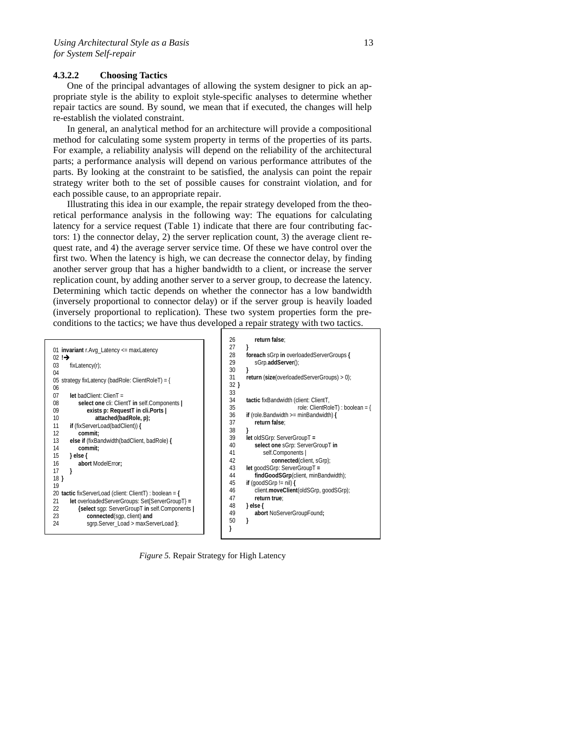#### **4.3.2.2 Choosing Tactics**

One of the principal advantages of allowing the system designer to pick an appropriate style is the ability to exploit style-specific analyses to determine whether repair tactics are sound. By sound, we mean that if executed, the changes will help re-establish the violated constraint.

In general, an analytical method for an architecture will provide a compositional method for calculating some system property in terms of the properties of its parts. For example, a reliability analysis will depend on the reliability of the architectural parts; a performance analysis will depend on various performance attributes of the parts. By looking at the constraint to be satisfied, the analysis can point the repair strategy writer both to the set of possible causes for constraint violation, and for each possible cause, to an appropriate repair.

Illustrating this idea in our example, the repair strategy developed from the theoretical performance analysis in the following way: The equations for calculating latency for a service request (Table 1) indicate that there are four contributing factors: 1) the connector delay, 2) the server replication count, 3) the average client request rate, and 4) the average server service time. Of these we have control over the first two. When the latency is high, we can decrease the connector delay, by finding another server group that has a higher bandwidth to a client, or increase the server replication count, by adding another server to a server group, to decrease the latency. Determining which tactic depends on whether the connector has a low bandwidth (inversely proportional to connector delay) or if the server group is heavily loaded (inversely proportional to replication). These two system properties form the preconditions to the tactics; we have thus developed a repair strategy with two tactics.

```
01 invariant r.Avg_Latency <= maxLatency
02!\rightarrow03 fixLatency(r)
04
05 strategy fixLatency (badRole: ClientRoleT) = {
06<br>07
      07 let badClient: ClienT =
08 select one cli: ClientT in self.Components |
             09 exists p: RequestT in cli.Ports |
10 attached(badRole, p);
11 if (fixServerLoad(badClient)) {
12 commit;<br>13 else if (fixBa
13 else if (fixBandwidth(badClient, badRole) {
14 commit;
      15 } else {
16 abort ModelError;
17 }
18 }
19
20 tactic fixServerLoad (client: ClientT) : boolean = {
21 let overloadedServerGroups: Set{ServerGroupT} =
22 {select sgp: ServerGroupT in self.Components |
             23 connected(sgp, client) and
24 sgrp.Server_Load > maxServerLoad };
```
28 **foreach** sGrp **in** overloadedServerGroups **{** 29 sGrp.**addServer**(); 30 **}** 31 **return** (**size**(overloadedServerGroups) > 0); 32 **}** 33<br>34 34 **tactic** fixBandwidth (client: ClientT, role: ClientRoleT) : boolean = { 36 **if** (role.Bandwidth >= minBandwidth) **{** 37 **return false**; 38 **}** 39 **let** oldSGrp: ServerGroupT **=** 40 **select one** sGrp: ServerGroupT **in** 41 self.Components |<br>42 **connected**(clie 42 **connected**(client, sGrp);<br>43 **let** goodSGrp: ServerGroupT = 43 **let** goodSGrp: ServerGroupT **=** 44 **findGoodSGrp**(client, minBandwidth);<br>45 **if** (goodSGrp != nil) { 45 **if** (goodSGrp != nil) **{** 46 client.**moveClient**(oldSGrp, goodSGrp); 47 **return true**; 48 **} else {** 49 **abort** NoServerGroupFound**;** 50 **} }**

 $26$  return false;

27 **}**

*Figure 5.* Repair Strategy for High Latency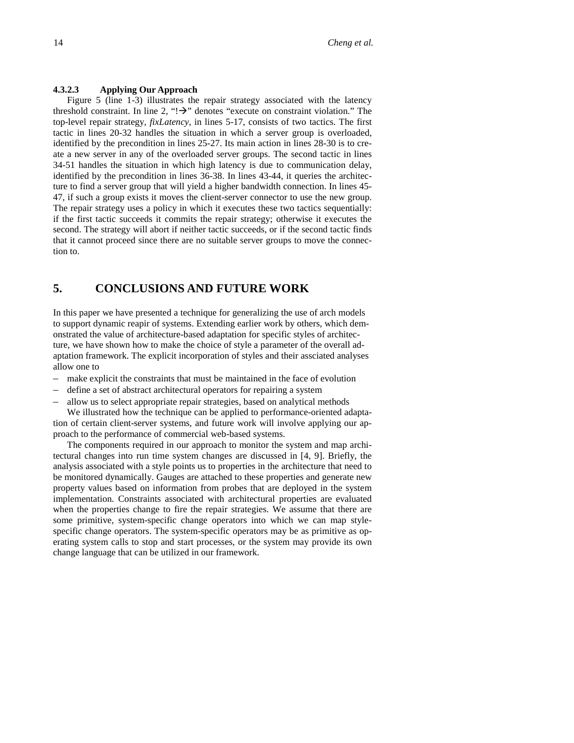#### **4.3.2.3 Applying Our Approach**

Figure 5 (line 1-3) illustrates the repair strategy associated with the latency threshold constraint. In line 2, " $\rightarrow$ " denotes "execute on constraint violation." The top-level repair strategy, *fixLatency*, in lines 5-17, consists of two tactics. The first tactic in lines 20-32 handles the situation in which a server group is overloaded, identified by the precondition in lines 25-27. Its main action in lines 28-30 is to create a new server in any of the overloaded server groups. The second tactic in lines 34-51 handles the situation in which high latency is due to communication delay, identified by the precondition in lines 36-38. In lines 43-44, it queries the architecture to find a server group that will yield a higher bandwidth connection. In lines 45- 47, if such a group exists it moves the client-server connector to use the new group. The repair strategy uses a policy in which it executes these two tactics sequentially: if the first tactic succeeds it commits the repair strategy; otherwise it executes the second. The strategy will abort if neither tactic succeeds, or if the second tactic finds that it cannot proceed since there are no suitable server groups to move the connection to.

# **5. CONCLUSIONS AND FUTURE WORK**

In this paper we have presented a technique for generalizing the use of arch models to support dynamic reapir of systems. Extending earlier work by others, which demonstrated the value of architecture-based adaptation for specific styles of architecture, we have shown how to make the choice of style a parameter of the overall adaptation framework. The explicit incorporation of styles and their assciated analyses allow one to

- make explicit the constraints that must be maintained in the face of evolution
- define a set of abstract architectural operators for repairing a system
- allow us to select appropriate repair strategies, based on analytical methods

We illustrated how the technique can be applied to performance-oriented adaptation of certain client-server systems, and future work will involve applying our approach to the performance of commercial web-based systems.

The components required in our approach to monitor the system and map architectural changes into run time system changes are discussed in [4, 9]. Briefly, the analysis associated with a style points us to properties in the architecture that need to be monitored dynamically. Gauges are attached to these properties and generate new property values based on information from probes that are deployed in the system implementation. Constraints associated with architectural properties are evaluated when the properties change to fire the repair strategies. We assume that there are some primitive, system-specific change operators into which we can map stylespecific change operators. The system-specific operators may be as primitive as operating system calls to stop and start processes, or the system may provide its own change language that can be utilized in our framework.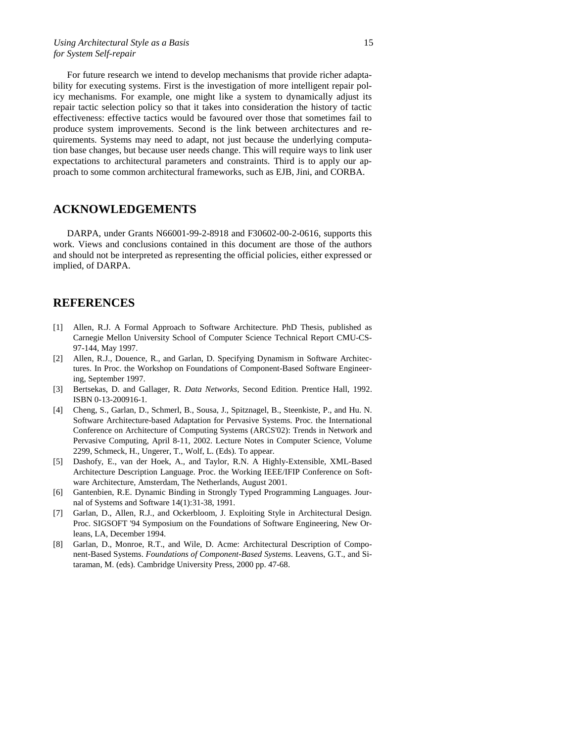For future research we intend to develop mechanisms that provide richer adaptability for executing systems. First is the investigation of more intelligent repair policy mechanisms. For example, one might like a system to dynamically adjust its repair tactic selection policy so that it takes into consideration the history of tactic effectiveness: effective tactics would be favoured over those that sometimes fail to produce system improvements. Second is the link between architectures and requirements. Systems may need to adapt, not just because the underlying computation base changes, but because user needs change. This will require ways to link user expectations to architectural parameters and constraints. Third is to apply our approach to some common architectural frameworks, such as EJB, Jini, and CORBA.

### **ACKNOWLEDGEMENTS**

DARPA, under Grants N66001-99-2-8918 and F30602-00-2-0616, supports this work. Views and conclusions contained in this document are those of the authors and should not be interpreted as representing the official policies, either expressed or implied, of DARPA.

### **REFERENCES**

- [1] Allen, R.J. A Formal Approach to Software Architecture. PhD Thesis, published as Carnegie Mellon University School of Computer Science Technical Report CMU-CS-97-144, May 1997.
- [2] Allen, R.J., Douence, R., and Garlan, D. Specifying Dynamism in Software Architectures. In Proc. the Workshop on Foundations of Component-Based Software Engineering, September 1997.
- [3] Bertsekas, D. and Gallager, R. *Data Networks*, Second Edition. Prentice Hall, 1992. ISBN 0-13-200916-1.
- [4] Cheng, S., Garlan, D., Schmerl, B., Sousa, J., Spitznagel, B., Steenkiste, P., and Hu. N. Software Architecture-based Adaptation for Pervasive Systems. Proc. the International Conference on Architecture of Computing Systems (ARCS'02): Trends in Network and Pervasive Computing, April 8-11, 2002. Lecture Notes in Computer Science, Volume 2299, Schmeck, H., Ungerer, T., Wolf, L. (Eds). To appear.
- [5] Dashofy, E., van der Hoek, A., and Taylor, R.N. A Highly-Extensible, XML-Based Architecture Description Language. Proc. the Working IEEE/IFIP Conference on Software Architecture, Amsterdam, The Netherlands, August 2001.
- [6] Gantenbien, R.E. Dynamic Binding in Strongly Typed Programming Languages. Journal of Systems and Software 14(1):31-38, 1991.
- [7] Garlan, D., Allen, R.J., and Ockerbloom, J. Exploiting Style in Architectural Design. Proc. SIGSOFT '94 Symposium on the Foundations of Software Engineering, New Orleans, LA, December 1994.
- [8] Garlan, D., Monroe, R.T., and Wile, D. Acme: Architectural Description of Component-Based Systems. *Foundations of Component-Based Systems*. Leavens, G.T., and Sitaraman, M. (eds). Cambridge University Press, 2000 pp. 47-68.